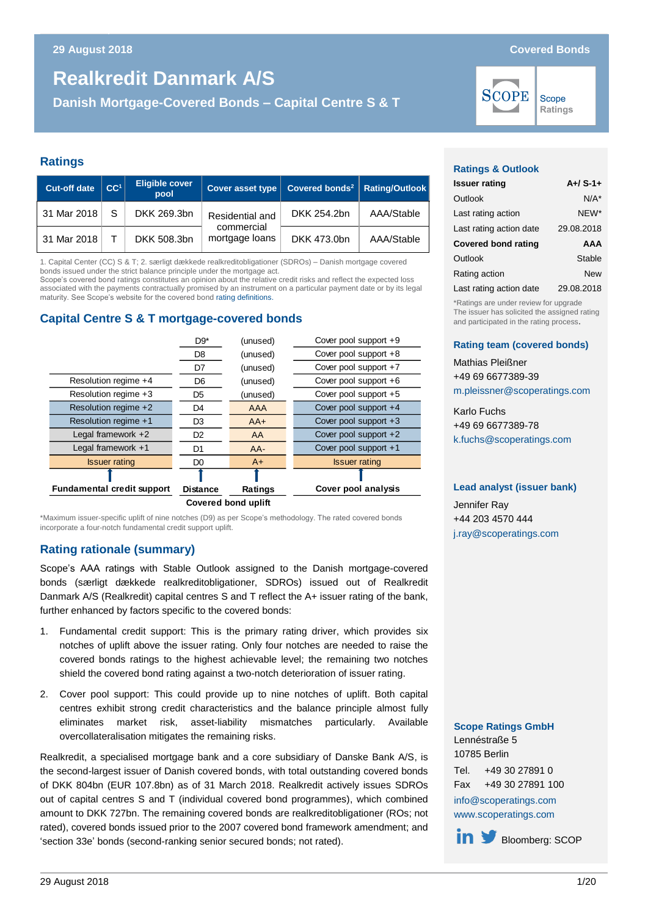**Danish Mortgage-Covered Bonds – Capital Centre S & T**

**Ratings**

| <b>Cut-off date</b> | CC <sup>1</sup> | <b>Eligible cover</b><br>pool | <b>Cover asset type</b>      | Covered bonds <sup>2</sup>   Rating/Outlook |            |
|---------------------|-----------------|-------------------------------|------------------------------|---------------------------------------------|------------|
| 31 Mar 2018         | -S              | DKK 269.3bn                   | Residential and              | DKK 254.2bn                                 | AAA/Stable |
| 31 Mar 2018         |                 | DKK 508.3bn                   | commercial<br>mortgage loans | DKK 473.0bn                                 | AAA/Stable |

1. Capital Center (CC) S & T; 2. særligt dækkede realkreditobligationer (SDROs) – Danish mortgage covered bonds issued under the strict balance principle under the mortgage act.

Scope's covered bond ratings constitutes an opinion about the relative credit risks and reflect the expected loss associated with the payments contractually promised by an instrument on a particular payment date or by its legal maturity. See Scope's website for the covered bon[d rating definitions.](http://www.scoperatings.com/governance-and-policies/rating-governance/rating-definitions-structured-finance)

## **Capital Centre S & T mortgage-covered bonds**



\*Maximum issuer-specific uplift of nine notches (D9) as per Scope's methodology. The rated covered bonds incorporate a four-notch fundamental credit support uplift.

#### **Rating rationale (summary)**

Scope's AAA ratings with Stable Outlook assigned to the Danish mortgage-covered bonds (særligt dækkede realkreditobligationer, SDROs) issued out of Realkredit Danmark A/S (Realkredit) capital centres S and T reflect the A+ issuer rating of the bank, further enhanced by factors specific to the covered bonds:

- 1. Fundamental credit support: This is the primary rating driver, which provides six notches of uplift above the issuer rating. Only four notches are needed to raise the covered bonds ratings to the highest achievable level; the remaining two notches shield the covered bond rating against a two-notch deterioration of issuer rating.
- 2. Cover pool support: This could provide up to nine notches of uplift. Both capital centres exhibit strong credit characteristics and the balance principle almost fully eliminates market risk, asset-liability mismatches particularly. Available overcollateralisation mitigates the remaining risks.

Realkredit, a specialised mortgage bank and a core subsidiary of Danske Bank A/S, is the second-largest issuer of Danish covered bonds, with total outstanding covered bonds of DKK 804bn (EUR 107.8bn) as of 31 March 2018. Realkredit actively issues SDROs out of capital centres S and T (individual covered bond programmes), which combined amount to DKK 727bn. The remaining covered bonds are realkreditobligationer (ROs; not rated), covered bonds issued prior to the 2007 covered bond framework amendment; and 'section 33e' bonds (second-ranking senior secured bonds; not rated).

#### **Ratings & Outlook**

**SCOPE** 

| <b>Issuer rating</b>       | $A+ / S-1+$ |
|----------------------------|-------------|
| Outlook                    | $N/A^*$     |
| Last rating action         | NEW*        |
| Last rating action date    | 29.08.2018  |
| <b>Covered bond rating</b> | AAA         |
|                            |             |
| Outlook                    | Stable      |
| Rating action              | New         |
| Last rating action date    | 29.08.2018  |

\*Ratings are under review for upgrade The issuer has solicited the assigned rating and participated in the rating process.

#### **Rating team (covered bonds)**

Mathias Pleißner +49 69 6677389-39 [m.pleissner@scoperatings.com](mailto:m.pleissner@scoperatings.com)

Karlo Fuchs +49 69 6677389-78 [k.fuchs@scoperatings.com](mailto:k.fuchs@scoperatings.com)

#### **Lead analyst (issuer bank)**

Jennifer Ray +44 203 4570 444 [j.ray@scoperatings.com](mailto:j.ray@scoperatings.com)

|              | <b>Scope Ratings GmbH</b> |
|--------------|---------------------------|
|              | Lennéstraße 5             |
| 10785 Berlin |                           |
| Tel.         | +49 30 27891 0            |

Fax +49 30 27891 100 [info@scoperatings.com](mailto:info@scoperatings.com) [www.scoperatings.com](https://www.scoperatings.com/#home)

in **S** [B](https://twitter.com/ScopeGroup_)loomberg: SCOP

Scope Ratings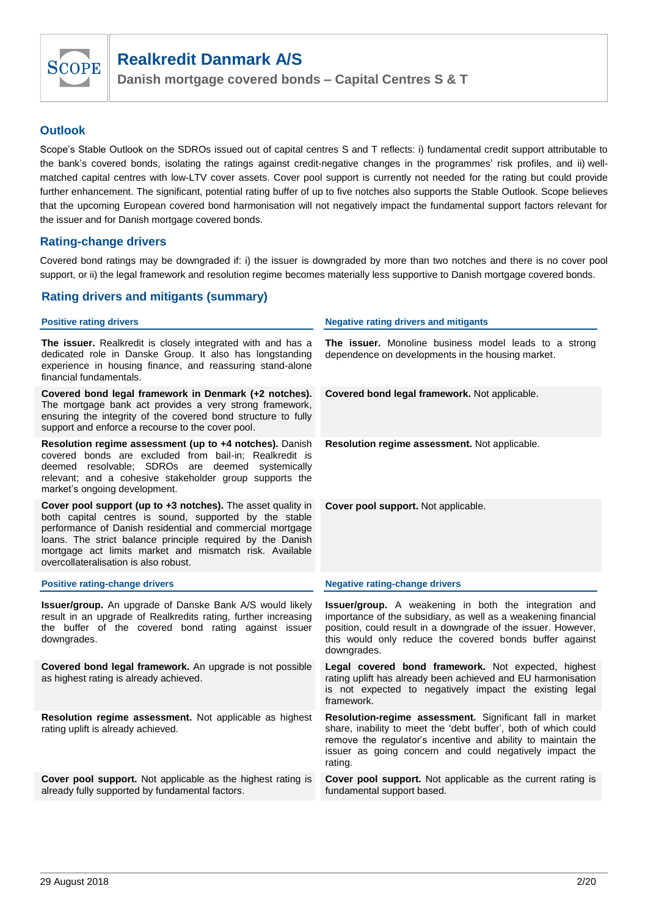

## **Outlook**

Scope's Stable Outlook on the SDROs issued out of capital centres S and T reflects: i) fundamental credit support attributable to the bank's covered bonds, isolating the ratings against credit-negative changes in the programmes' risk profiles, and ii) wellmatched capital centres with low-LTV cover assets. Cover pool support is currently not needed for the rating but could provide further enhancement. The significant, potential rating buffer of up to five notches also supports the Stable Outlook. Scope believes that the upcoming European covered bond harmonisation will not negatively impact the fundamental support factors relevant for the issuer and for Danish mortgage covered bonds.

## **Rating-change drivers**

Covered bond ratings may be downgraded if: i) the issuer is downgraded by more than two notches and there is no cover pool support, or ii) the legal framework and resolution regime becomes materially less supportive to Danish mortgage covered bonds.

## **Rating drivers and mitigants (summary)**

#### **Positive rating drivers Negative Negative rating drivers and mitigants The issuer.** Realkredit is closely integrated with and has a dedicated role in Danske Group. It also has longstanding experience in housing finance, and reassuring stand-alone financial fundamentals. **The issuer.** Monoline business model leads to a strong dependence on developments in the housing market. **Covered bond legal framework in Denmark (+2 notches).**  The mortgage bank act provides a very strong framework, ensuring the integrity of the covered bond structure to fully support and enforce a recourse to the cover pool. **Covered bond legal framework.** Not applicable. **Resolution regime assessment (up to +4 notches).** Danish covered bonds are excluded from bail-in; Realkredit is deemed resolvable; SDROs are deemed systemically relevant; and a cohesive stakeholder group supports the market's ongoing development. **Resolution regime assessment.** Not applicable. **Cover pool support (up to +3 notches).** The asset quality in both capital centres is sound, supported by the stable performance of Danish residential and commercial mortgage loans. The strict balance principle required by the Danish mortgage act limits market and mismatch risk. Available overcollateralisation is also robust. **Cover pool support.** Not applicable. **Positive rating-change drivers Negative rating-change drivers Issuer/group.** An upgrade of Danske Bank A/S would likely result in an upgrade of Realkredits rating, further increasing the buffer of the covered bond rating against issuer downgrades. **Issuer/group.** A weakening in both the integration and importance of the subsidiary, as well as a weakening financial position, could result in a downgrade of the issuer. However, this would only reduce the covered bonds buffer against downgrades. **Covered bond legal framework.** An upgrade is not possible as highest rating is already achieved. **Legal covered bond framework.** Not expected, highest rating uplift has already been achieved and EU harmonisation is not expected to negatively impact the existing legal framework. **Resolution regime assessment.** Not applicable as highest rating uplift is already achieved. **Resolution-regime assessment.** Significant fall in market share, inability to meet the 'debt buffer', both of which could remove the regulator's incentive and ability to maintain the issuer as going concern and could negatively impact the rating. **Cover pool support.** Not applicable as the highest rating is already fully supported by fundamental factors. **Cover pool support.** Not applicable as the current rating is fundamental support based.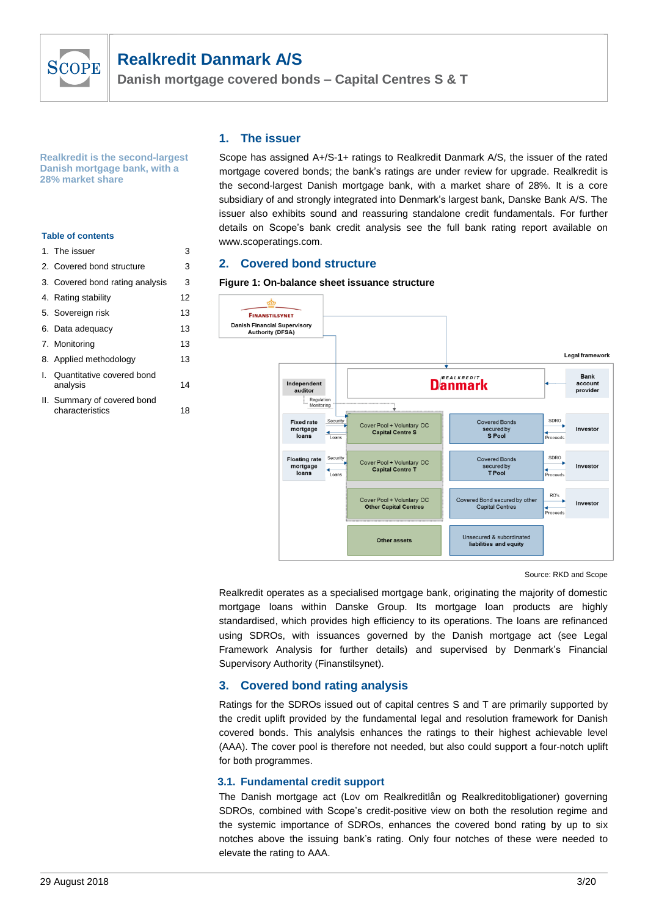

**Danish mortgage covered bonds – Capital Centres S & T**

**Realkredit is the second-largest Danish mortgage bank, with a 28% market share** 

#### **Table of contents**

| 1. The issuer                                  | 3  |
|------------------------------------------------|----|
| 2. Covered bond structure                      | 3  |
| 3. Covered bond rating analysis                | 3  |
| 4. Rating stability                            | 12 |
| 5. Sovereign risk                              | 13 |
| 6. Data adequacy                               | 13 |
| 7. Monitoring                                  | 13 |
| 8. Applied methodology                         | 13 |
| I. Quantitative covered bond<br>analysis       | 14 |
| II. Summary of covered bond<br>characteristics | 18 |

## **1. The issuer**

Scope has assigned A+/S-1+ ratings to Realkredit Danmark A/S, the issuer of the rated mortgage covered bonds; the bank's ratings are under review for upgrade. Realkredit is the second-largest Danish mortgage bank, with a market share of 28%. It is a core subsidiary of and strongly integrated into Denmark's largest bank, Danske Bank A/S. The issuer also exhibits sound and reassuring standalone credit fundamentals. For further details on Scope's bank credit analysis see the full bank rating report available on www.scoperatings.com.

#### **2. Covered bond structure**

#### **Figure 1: On-balance sheet issuance structure**



Source: RKD and Scope

Realkredit operates as a specialised mortgage bank, originating the majority of domestic mortgage loans within Danske Group. Its mortgage loan products are highly standardised, which provides high efficiency to its operations. The loans are refinanced using SDROs, with issuances governed by the Danish mortgage act (see Legal Framework Analysis for further details) and supervised by Denmark's Financial Supervisory Authority (Finanstilsynet).

## **3. Covered bond rating analysis**

Ratings for the SDROs issued out of capital centres S and T are primarily supported by the credit uplift provided by the fundamental legal and resolution framework for Danish covered bonds. This analylsis enhances the ratings to their highest achievable level (AAA). The cover pool is therefore not needed, but also could support a four-notch uplift for both programmes.

#### **3.1. Fundamental credit support**

The Danish mortgage act (Lov om Realkreditlån og Realkreditobligationer) governing SDROs, combined with Scope's credit-positive view on both the resolution regime and the systemic importance of SDROs, enhances the covered bond rating by up to six notches above the issuing bank's rating. Only four notches of these were needed to elevate the rating to AAA.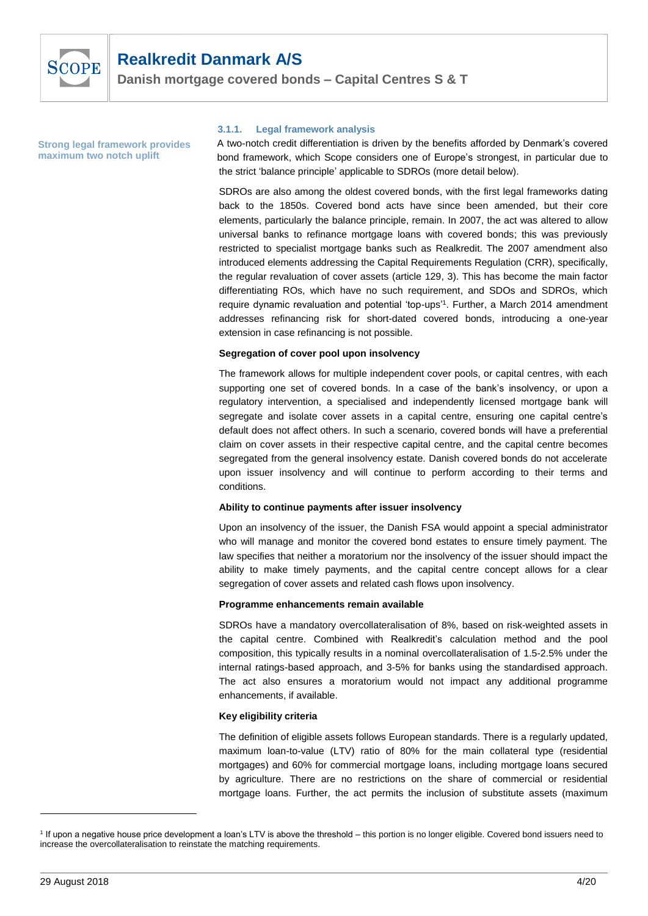

**Danish mortgage covered bonds – Capital Centres S & T**

**Strong legal framework provides maximum two notch uplift** 

#### **3.1.1. Legal framework analysis**

A two-notch credit differentiation is driven by the benefits afforded by Denmark's covered bond framework, which Scope considers one of Europe's strongest, in particular due to the strict 'balance principle' applicable to SDROs (more detail below).

SDROs are also among the oldest covered bonds, with the first legal frameworks dating back to the 1850s. Covered bond acts have since been amended, but their core elements, particularly the balance principle, remain. In 2007, the act was altered to allow universal banks to refinance mortgage loans with covered bonds; this was previously restricted to specialist mortgage banks such as Realkredit. The 2007 amendment also introduced elements addressing the Capital Requirements Regulation (CRR), specifically, the regular revaluation of cover assets (article 129, 3). This has become the main factor differentiating ROs, which have no such requirement, and SDOs and SDROs, which require dynamic revaluation and potential 'top-ups' 1 . Further, a March 2014 amendment addresses refinancing risk for short-dated covered bonds, introducing a one-year extension in case refinancing is not possible.

#### **Segregation of cover pool upon insolvency**

The framework allows for multiple independent cover pools, or capital centres, with each supporting one set of covered bonds. In a case of the bank's insolvency, or upon a regulatory intervention, a specialised and independently licensed mortgage bank will segregate and isolate cover assets in a capital centre, ensuring one capital centre's default does not affect others. In such a scenario, covered bonds will have a preferential claim on cover assets in their respective capital centre, and the capital centre becomes segregated from the general insolvency estate. Danish covered bonds do not accelerate upon issuer insolvency and will continue to perform according to their terms and conditions.

#### **Ability to continue payments after issuer insolvency**

Upon an insolvency of the issuer, the Danish FSA would appoint a special administrator who will manage and monitor the covered bond estates to ensure timely payment. The law specifies that neither a moratorium nor the insolvency of the issuer should impact the ability to make timely payments, and the capital centre concept allows for a clear segregation of cover assets and related cash flows upon insolvency.

#### **Programme enhancements remain available**

SDROs have a mandatory overcollateralisation of 8%, based on risk-weighted assets in the capital centre. Combined with Realkredit's calculation method and the pool composition, this typically results in a nominal overcollateralisation of 1.5-2.5% under the internal ratings-based approach, and 3-5% for banks using the standardised approach. The act also ensures a moratorium would not impact any additional programme enhancements, if available.

#### **Key eligibility criteria**

The definition of eligible assets follows European standards. There is a regularly updated, maximum loan-to-value (LTV) ratio of 80% for the main collateral type (residential mortgages) and 60% for commercial mortgage loans, including mortgage loans secured by agriculture. There are no restrictions on the share of commercial or residential mortgage loans. Further, the act permits the inclusion of substitute assets (maximum

<sup>&</sup>lt;sup>1</sup> If upon a negative house price development a loan's LTV is above the threshold – this portion is no longer eligible. Covered bond issuers need to increase the overcollateralisation to reinstate the matching requirements.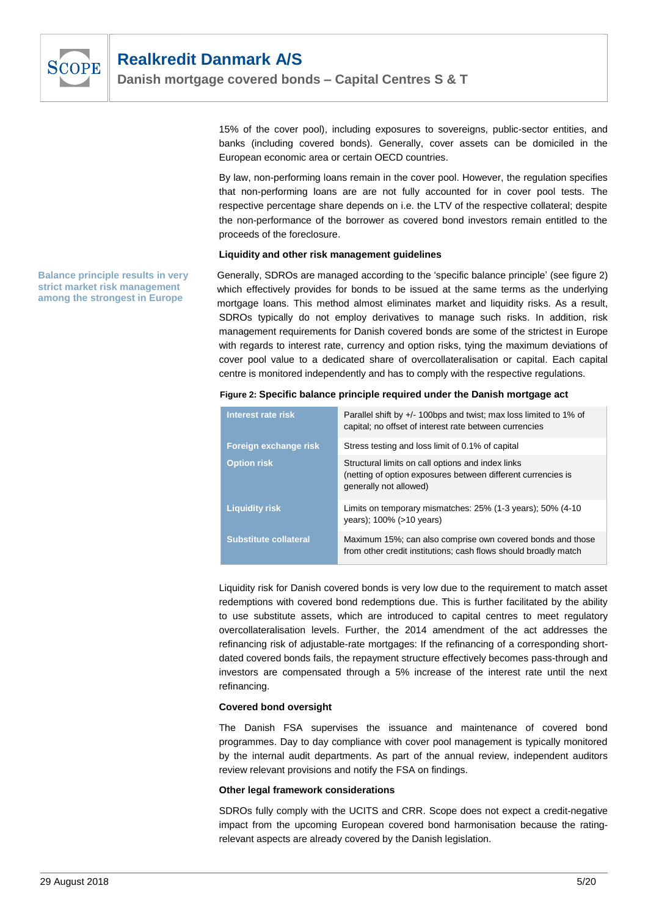

15% of the cover pool), including exposures to sovereigns, public-sector entities, and banks (including covered bonds). Generally, cover assets can be domiciled in the European economic area or certain OECD countries.

By law, non-performing loans remain in the cover pool. However, the regulation specifies that non-performing loans are are not fully accounted for in cover pool tests. The respective percentage share depends on i.e. the LTV of the respective collateral; despite the non-performance of the borrower as covered bond investors remain entitled to the proceeds of the foreclosure.

#### **Liquidity and other risk management guidelines**

Generally, SDROs are managed according to the 'specific balance principle' (see figure 2) which effectively provides for bonds to be issued at the same terms as the underlying mortgage loans. This method almost eliminates market and liquidity risks. As a result, SDROs typically do not employ derivatives to manage such risks. In addition, risk management requirements for Danish covered bonds are some of the strictest in Europe with regards to interest rate, currency and option risks, tying the maximum deviations of cover pool value to a dedicated share of overcollateralisation or capital. Each capital centre is monitored independently and has to comply with the respective regulations.

|  |  |  |  | Figure 2: Specific balance principle required under the Danish mortgage act |
|--|--|--|--|-----------------------------------------------------------------------------|
|--|--|--|--|-----------------------------------------------------------------------------|

| Interest rate risk           | Parallel shift by +/- 100bps and twist; max loss limited to 1% of<br>capital; no offset of interest rate between currencies                 |
|------------------------------|---------------------------------------------------------------------------------------------------------------------------------------------|
| Foreign exchange risk        | Stress testing and loss limit of 0.1% of capital                                                                                            |
| <b>Option risk</b>           | Structural limits on call options and index links<br>(netting of option exposures between different currencies is<br>generally not allowed) |
| <b>Liquidity risk</b>        | Limits on temporary mismatches: 25% (1-3 years); 50% (4-10<br>years); 100% (>10 years)                                                      |
| <b>Substitute collateral</b> | Maximum 15%; can also comprise own covered bonds and those<br>from other credit institutions; cash flows should broadly match               |

Liquidity risk for Danish covered bonds is very low due to the requirement to match asset redemptions with covered bond redemptions due. This is further facilitated by the ability to use substitute assets, which are introduced to capital centres to meet regulatory overcollateralisation levels. Further, the 2014 amendment of the act addresses the refinancing risk of adjustable-rate mortgages: If the refinancing of a corresponding shortdated covered bonds fails, the repayment structure effectively becomes pass-through and investors are compensated through a 5% increase of the interest rate until the next refinancing.

#### **Covered bond oversight**

The Danish FSA supervises the issuance and maintenance of covered bond programmes. Day to day compliance with cover pool management is typically monitored by the internal audit departments. As part of the annual review, independent auditors review relevant provisions and notify the FSA on findings.

#### **Other legal framework considerations**

SDROs fully comply with the UCITS and CRR. Scope does not expect a credit-negative impact from the upcoming European covered bond harmonisation because the ratingrelevant aspects are already covered by the Danish legislation.

**Balance principle results in very strict market risk management among the strongest in Europe**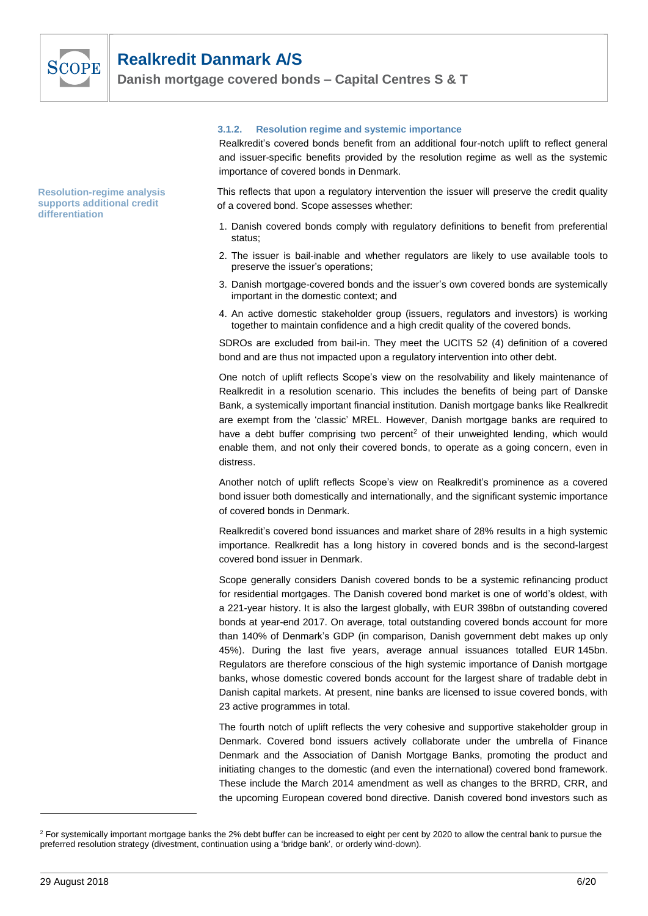

**Resolution-regime analysis supports additional credit differentiation**

#### **3.1.2. Resolution regime and systemic importance**

Realkredit's covered bonds benefit from an additional four-notch uplift to reflect general and issuer-specific benefits provided by the resolution regime as well as the systemic importance of covered bonds in Denmark.

This reflects that upon a regulatory intervention the issuer will preserve the credit quality of a covered bond. Scope assesses whether:

- 1. Danish covered bonds comply with regulatory definitions to benefit from preferential status;
- 2. The issuer is bail-inable and whether regulators are likely to use available tools to preserve the issuer's operations;
- 3. Danish mortgage-covered bonds and the issuer's own covered bonds are systemically important in the domestic context; and
- 4. An active domestic stakeholder group (issuers, regulators and investors) is working together to maintain confidence and a high credit quality of the covered bonds.

SDROs are excluded from bail-in. They meet the UCITS 52 (4) definition of a covered bond and are thus not impacted upon a regulatory intervention into other debt.

One notch of uplift reflects Scope's view on the resolvability and likely maintenance of Realkredit in a resolution scenario. This includes the benefits of being part of Danske Bank, a systemically important financial institution. Danish mortgage banks like Realkredit are exempt from the 'classic' MREL. However, Danish mortgage banks are required to have a debt buffer comprising two percent<sup>2</sup> of their unweighted lending, which would enable them, and not only their covered bonds, to operate as a going concern, even in distress.

Another notch of uplift reflects Scope's view on Realkredit's prominence as a covered bond issuer both domestically and internationally, and the significant systemic importance of covered bonds in Denmark.

Realkredit's covered bond issuances and market share of 28% results in a high systemic importance. Realkredit has a long history in covered bonds and is the second-largest covered bond issuer in Denmark.

Scope generally considers Danish covered bonds to be a systemic refinancing product for residential mortgages. The Danish covered bond market is one of world's oldest, with a 221-year history. It is also the largest globally, with EUR 398bn of outstanding covered bonds at year-end 2017. On average, total outstanding covered bonds account for more than 140% of Denmark's GDP (in comparison, Danish government debt makes up only 45%). During the last five years, average annual issuances totalled EUR 145bn. Regulators are therefore conscious of the high systemic importance of Danish mortgage banks, whose domestic covered bonds account for the largest share of tradable debt in Danish capital markets. At present, nine banks are licensed to issue covered bonds, with 23 active programmes in total.

The fourth notch of uplift reflects the very cohesive and supportive stakeholder group in Denmark. Covered bond issuers actively collaborate under the umbrella of Finance Denmark and the Association of Danish Mortgage Banks, promoting the product and initiating changes to the domestic (and even the international) covered bond framework. These include the March 2014 amendment as well as changes to the BRRD, CRR, and the upcoming European covered bond directive. Danish covered bond investors such as

 $2$  For systemically important mortgage banks the 2% debt buffer can be increased to eight per cent by 2020 to allow the central bank to pursue the preferred resolution strategy (divestment, continuation using a 'bridge bank', or orderly wind-down).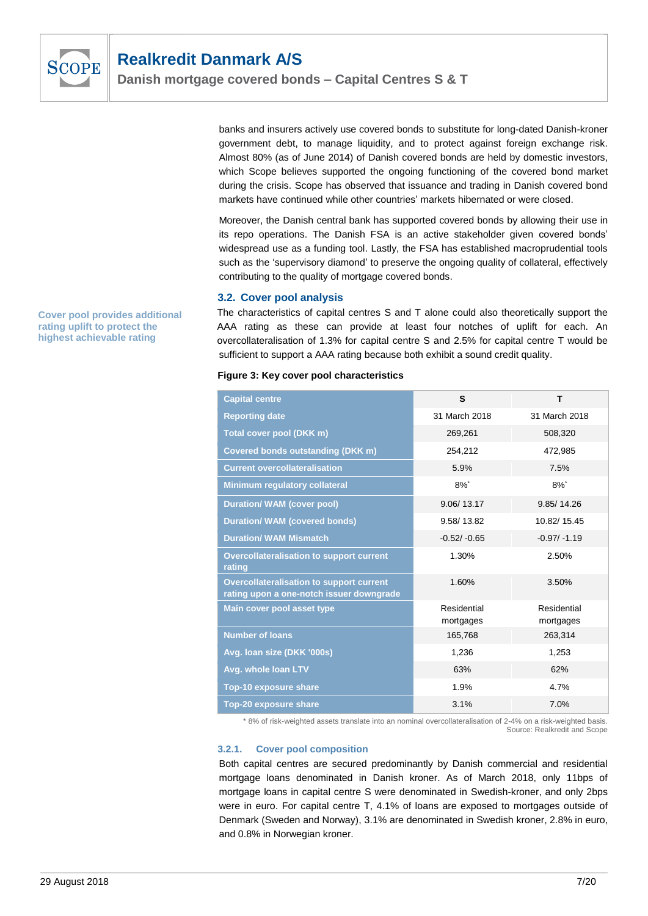

banks and insurers actively use covered bonds to substitute for long-dated Danish-kroner government debt, to manage liquidity, and to protect against foreign exchange risk. Almost 80% (as of June 2014) of Danish covered bonds are held by domestic investors, which Scope believes supported the ongoing functioning of the covered bond market during the crisis. Scope has observed that issuance and trading in Danish covered bond markets have continued while other countries' markets hibernated or were closed.

Moreover, the Danish central bank has supported covered bonds by allowing their use in its repo operations. The Danish FSA is an active stakeholder given covered bonds' widespread use as a funding tool. Lastly, the FSA has established macroprudential tools such as the 'supervisory diamond' to preserve the ongoing quality of collateral, effectively contributing to the quality of mortgage covered bonds.

#### **3.2. Cover pool analysis**

The characteristics of capital centres S and T alone could also theoretically support the AAA rating as these can provide at least four notches of uplift for each. An overcollateralisation of 1.3% for capital centre S and 2.5% for capital centre T would be sufficient to support a AAA rating because both exhibit a sound credit quality.

#### **Figure 3: Key cover pool characteristics**

| <b>Capital centre</b>                                                                       | S                        | т                        |
|---------------------------------------------------------------------------------------------|--------------------------|--------------------------|
| <b>Reporting date</b>                                                                       | 31 March 2018            | 31 March 2018            |
| Total cover pool (DKK m)                                                                    | 269,261                  | 508,320                  |
| <b>Covered bonds outstanding (DKK m)</b>                                                    | 254,212                  | 472,985                  |
| <b>Current overcollateralisation</b>                                                        | 5.9%                     | 7.5%                     |
| Minimum regulatory collateral                                                               | $8\%$ <sup>*</sup>       | $8\%$ <sup>*</sup>       |
| <b>Duration/ WAM (cover pool)</b>                                                           | 9.06/13.17               | 9.85/14.26               |
| <b>Duration/ WAM (covered bonds)</b>                                                        | 9.58/13.82               | 10.82/15.45              |
| <b>Duration/ WAM Mismatch</b>                                                               | $-0.52/-0.65$            | $-0.97/ -1.19$           |
| <b>Overcollateralisation to support current</b><br>rating                                   | 1.30%                    | 2.50%                    |
| <b>Overcollateralisation to support current</b><br>rating upon a one-notch issuer downgrade | 1.60%                    | 3.50%                    |
| Main cover pool asset type                                                                  | Residential<br>mortgages | Residential<br>mortgages |
| <b>Number of loans</b>                                                                      | 165,768                  | 263,314                  |
| Avg. Ioan size (DKK '000s)                                                                  | 1,236                    | 1,253                    |
| Avg. whole loan LTV                                                                         | 63%                      | 62%                      |
| Top-10 exposure share                                                                       | 1.9%                     | 4.7%                     |
| <b>Top-20 exposure share</b>                                                                | 3.1%                     | 7.0%                     |

\* 8% of risk-weighted assets translate into an nominal overcollateralisation of 2-4% on a risk-weighted basis. Source: Realkredit and Scope

#### **3.2.1. Cover pool composition**

Both capital centres are secured predominantly by Danish commercial and residential mortgage loans denominated in Danish kroner. As of March 2018, only 11bps of mortgage loans in capital centre S were denominated in Swedish-kroner, and only 2bps were in euro. For capital centre T, 4.1% of loans are exposed to mortgages outside of Denmark (Sweden and Norway), 3.1% are denominated in Swedish kroner, 2.8% in euro, and 0.8% in Norwegian kroner.

**Cover pool provides additional rating uplift to protect the highest achievable rating**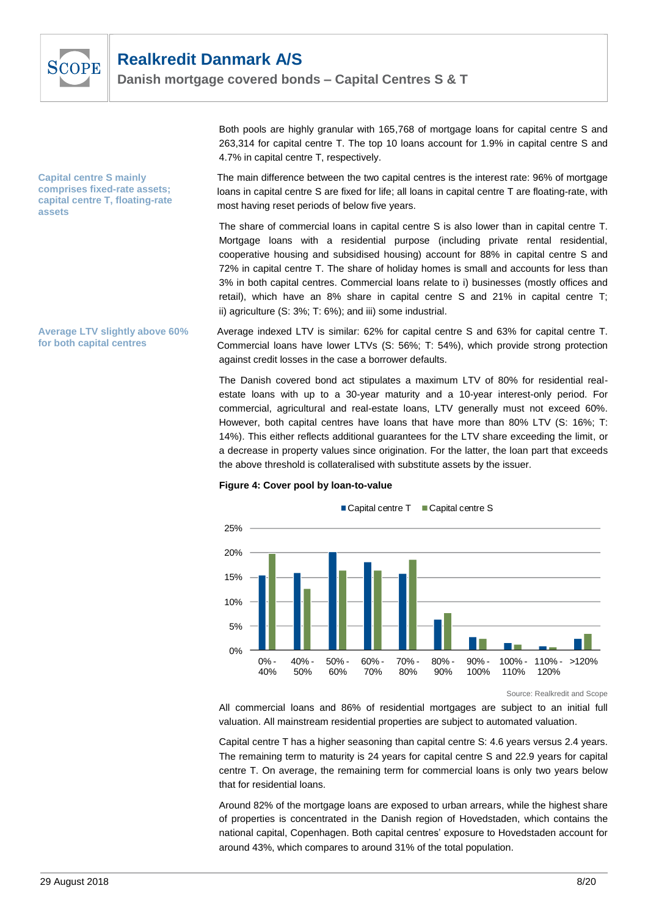

**Capital centre S mainly comprises fixed-rate assets; capital centre T, floating-rate assets** 

**Average LTV slightly above 60% for both capital centres** 

Both pools are highly granular with 165,768 of mortgage loans for capital centre S and 263,314 for capital centre T. The top 10 loans account for 1.9% in capital centre S and 4.7% in capital centre T, respectively.

The main difference between the two capital centres is the interest rate: 96% of mortgage loans in capital centre S are fixed for life; all loans in capital centre T are floating-rate, with most having reset periods of below five years.

The share of commercial loans in capital centre S is also lower than in capital centre T. Mortgage loans with a residential purpose (including private rental residential, cooperative housing and subsidised housing) account for 88% in capital centre S and 72% in capital centre T. The share of holiday homes is small and accounts for less than 3% in both capital centres. Commercial loans relate to i) businesses (mostly offices and retail), which have an 8% share in capital centre S and 21% in capital centre T; ii) agriculture (S: 3%; T: 6%); and iii) some industrial.

Average indexed LTV is similar: 62% for capital centre S and 63% for capital centre T. Commercial loans have lower LTVs (S: 56%; T: 54%), which provide strong protection against credit losses in the case a borrower defaults.

The Danish covered bond act stipulates a maximum LTV of 80% for residential realestate loans with up to a 30-year maturity and a 10-year interest-only period. For commercial, agricultural and real-estate loans, LTV generally must not exceed 60%. However, both capital centres have loans that have more than 80% LTV (S: 16%; T: 14%). This either reflects additional guarantees for the LTV share exceeding the limit, or a decrease in property values since origination. For the latter, the loan part that exceeds the above threshold is collateralised with substitute assets by the issuer.





Source: Realkredit and Scope

All commercial loans and 86% of residential mortgages are subject to an initial full valuation. All mainstream residential properties are subject to automated valuation.

Capital centre T has a higher seasoning than capital centre S: 4.6 years versus 2.4 years. The remaining term to maturity is 24 years for capital centre S and 22.9 years for capital centre T. On average, the remaining term for commercial loans is only two years below that for residential loans.

Around 82% of the mortgage loans are exposed to urban arrears, while the highest share of properties is concentrated in the Danish region of Hovedstaden, which contains the national capital, Copenhagen. Both capital centres' exposure to Hovedstaden account for around 43%, which compares to around 31% of the total population.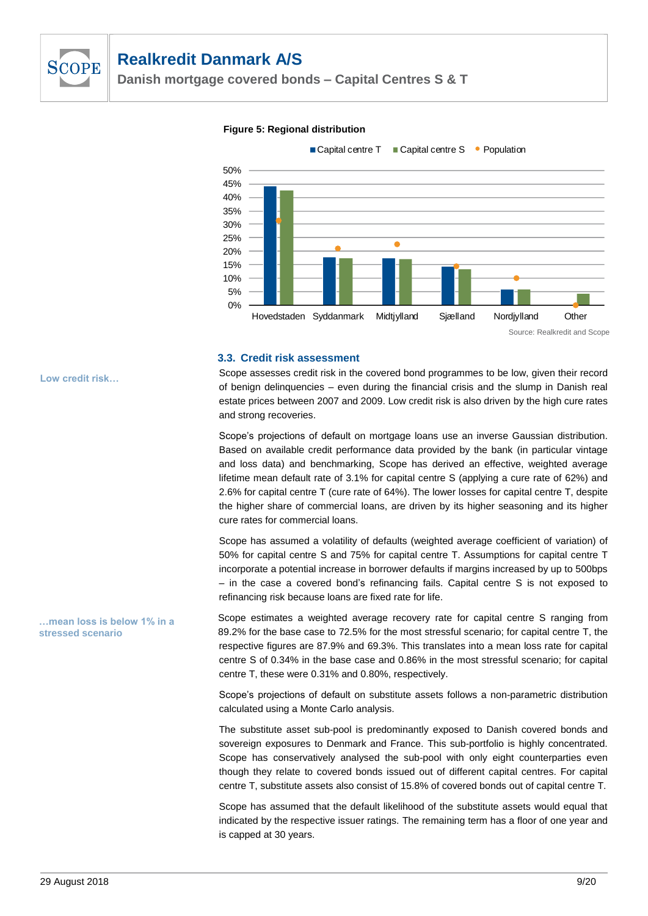

**Danish mortgage covered bonds – Capital Centres S & T**

#### **Figure 5: Regional distribution**



#### **3.3. Credit risk assessment**

Scope assesses credit risk in the covered bond programmes to be low, given their record of benign delinquencies – even during the financial crisis and the slump in Danish real estate prices between 2007 and 2009. Low credit risk is also driven by the high cure rates and strong recoveries.

Scope's projections of default on mortgage loans use an inverse Gaussian distribution. Based on available credit performance data provided by the bank (in particular vintage and loss data) and benchmarking, Scope has derived an effective, weighted average lifetime mean default rate of 3.1% for capital centre S (applying a cure rate of 62%) and 2.6% for capital centre T (cure rate of 64%). The lower losses for capital centre T, despite the higher share of commercial loans, are driven by its higher seasoning and its higher cure rates for commercial loans.

Scope has assumed a volatility of defaults (weighted average coefficient of variation) of 50% for capital centre S and 75% for capital centre T. Assumptions for capital centre T incorporate a potential increase in borrower defaults if margins increased by up to 500bps – in the case a covered bond's refinancing fails. Capital centre S is not exposed to refinancing risk because loans are fixed rate for life.

Scope estimates a weighted average recovery rate for capital centre S ranging from 89.2% for the base case to 72.5% for the most stressful scenario; for capital centre T, the respective figures are 87.9% and 69.3%. This translates into a mean loss rate for capital centre S of 0.34% in the base case and 0.86% in the most stressful scenario; for capital centre T, these were 0.31% and 0.80%, respectively.

Scope's projections of default on substitute assets follows a non-parametric distribution calculated using a Monte Carlo analysis.

The substitute asset sub-pool is predominantly exposed to Danish covered bonds and sovereign exposures to Denmark and France. This sub-portfolio is highly concentrated. Scope has conservatively analysed the sub-pool with only eight counterparties even though they relate to covered bonds issued out of different capital centres. For capital centre T, substitute assets also consist of 15.8% of covered bonds out of capital centre T.

Scope has assumed that the default likelihood of the substitute assets would equal that indicated by the respective issuer ratings. The remaining term has a floor of one year and is capped at 30 years.

**Low credit risk…**

**…mean loss is below 1% in a stressed scenario**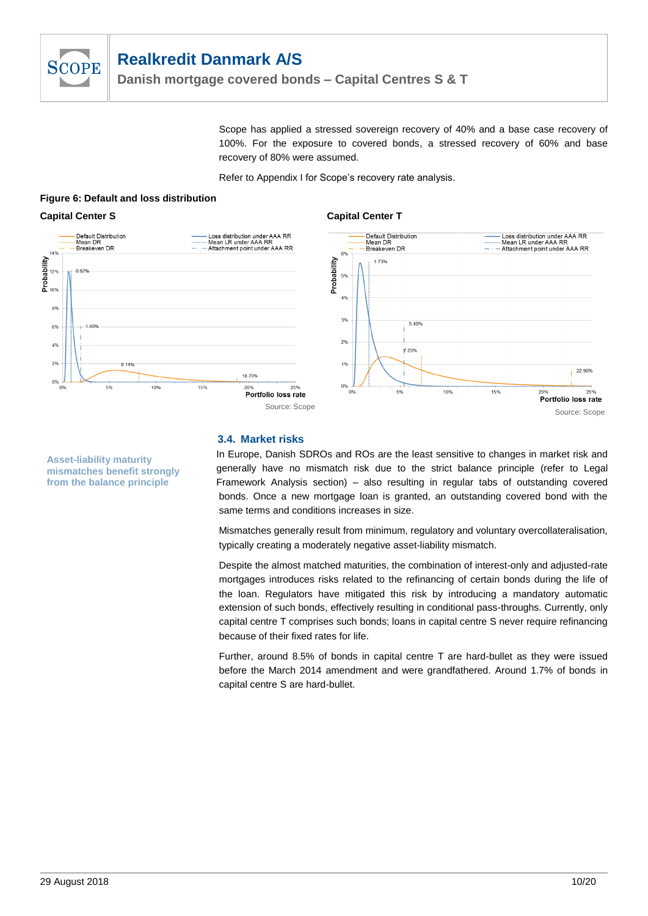

Scope has applied a stressed sovereign recovery of 40% and a base case recovery of 100%. For the exposure to covered bonds, a stressed recovery of 60% and base recovery of 80% were assumed.

Refer to Appendix I for Scope's recovery rate analysis.

**Capital Center T**

#### **Figure 6: Default and loss distribution**

#### **Capital Center S**



## **3.4. Market risks**

In Europe, Danish SDROs and ROs are the least sensitive to changes in market risk and generally have no mismatch risk due to the strict balance principle (refer to Legal Framework Analysis section) – also resulting in regular tabs of outstanding covered bonds. Once a new mortgage loan is granted, an outstanding covered bond with the same terms and conditions increases in size.

Mismatches generally result from minimum, regulatory and voluntary overcollateralisation, typically creating a moderately negative asset-liability mismatch.

Despite the almost matched maturities, the combination of interest-only and adjusted-rate mortgages introduces risks related to the refinancing of certain bonds during the life of the loan. Regulators have mitigated this risk by introducing a mandatory automatic extension of such bonds, effectively resulting in conditional pass-throughs. Currently, only capital centre T comprises such bonds; loans in capital centre S never require refinancing because of their fixed rates for life.

Further, around 8.5% of bonds in capital centre T are hard-bullet as they were issued before the March 2014 amendment and were grandfathered. Around 1.7% of bonds in capital centre S are hard-bullet.

**Asset-liability maturity mismatches benefit strongly from the balance principle**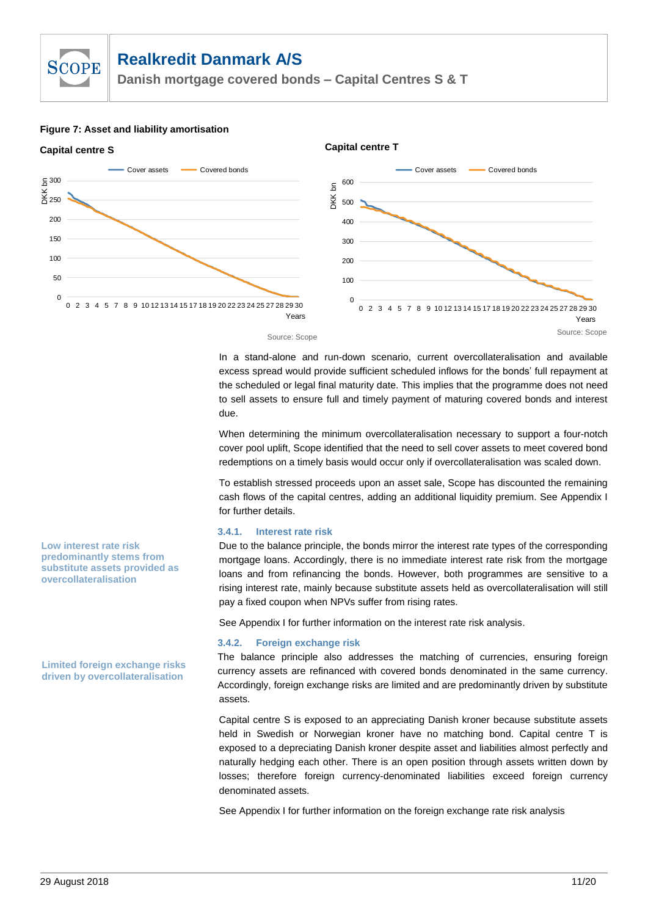**Danish mortgage covered bonds – Capital Centres S & T**

#### **Figure 7: Asset and liability amortisation**

**SCOPE** 



In a stand-alone and run-down scenario, current overcollateralisation and available excess spread would provide sufficient scheduled inflows for the bonds' full repayment at the scheduled or legal final maturity date. This implies that the programme does not need to sell assets to ensure full and timely payment of maturing covered bonds and interest due.

When determining the minimum overcollateralisation necessary to support a four-notch cover pool uplift, Scope identified that the need to sell cover assets to meet covered bond redemptions on a timely basis would occur only if overcollateralisation was scaled down.

To establish stressed proceeds upon an asset sale, Scope has discounted the remaining cash flows of the capital centres, adding an additional liquidity premium. See Appendix I for further details.

#### **3.4.1. Interest rate risk**

Due to the balance principle, the bonds mirror the interest rate types of the corresponding mortgage loans. Accordingly, there is no immediate interest rate risk from the mortgage loans and from refinancing the bonds. However, both programmes are sensitive to a rising interest rate, mainly because substitute assets held as overcollateralisation will still pay a fixed coupon when NPVs suffer from rising rates.

See Appendix I for further information on the interest rate risk analysis.

#### **3.4.2. Foreign exchange risk**

The balance principle also addresses the matching of currencies, ensuring foreign currency assets are refinanced with covered bonds denominated in the same currency. Accordingly, foreign exchange risks are limited and are predominantly driven by substitute assets.

Capital centre S is exposed to an appreciating Danish kroner because substitute assets held in Swedish or Norwegian kroner have no matching bond. Capital centre T is exposed to a depreciating Danish kroner despite asset and liabilities almost perfectly and naturally hedging each other. There is an open position through assets written down by losses; therefore foreign currency-denominated liabilities exceed foreign currency denominated assets.

See Appendix I for further information on the foreign exchange rate risk analysis

**Low interest rate risk predominantly stems from substitute assets provided as overcollateralisation** 

**Limited foreign exchange risks driven by overcollateralisation**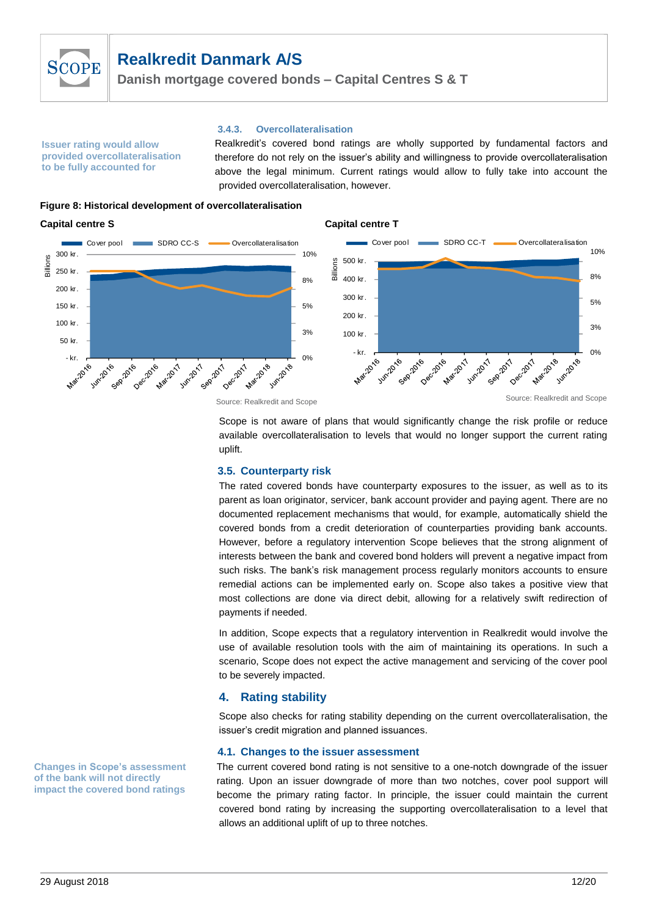

**Danish mortgage covered bonds – Capital Centres S & T**

**Issuer rating would allow provided overcollateralisation to be fully accounted for** 

**3.4.3. Overcollateralisation**

Realkredit's covered bond ratings are wholly supported by fundamental factors and therefore do not rely on the issuer's ability and willingness to provide overcollateralisation above the legal minimum. Current ratings would allow to fully take into account the provided overcollateralisation, however.

**Figure 8: Historical development of overcollateralisation**

#### **Capital centre S**



**Capital centre T**

Scope is not aware of plans that would significantly change the risk profile or reduce available overcollateralisation to levels that would no longer support the current rating uplift.

## **3.5. Counterparty risk**

The rated covered bonds have counterparty exposures to the issuer, as well as to its parent as loan originator, servicer, bank account provider and paying agent. There are no documented replacement mechanisms that would, for example, automatically shield the covered bonds from a credit deterioration of counterparties providing bank accounts. However, before a regulatory intervention Scope believes that the strong alignment of interests between the bank and covered bond holders will prevent a negative impact from such risks. The bank's risk management process regularly monitors accounts to ensure remedial actions can be implemented early on. Scope also takes a positive view that most collections are done via direct debit, allowing for a relatively swift redirection of payments if needed.

In addition, Scope expects that a regulatory intervention in Realkredit would involve the use of available resolution tools with the aim of maintaining its operations. In such a scenario, Scope does not expect the active management and servicing of the cover pool to be severely impacted.

# **4. Rating stability**

Scope also checks for rating stability depending on the current overcollateralisation, the issuer's credit migration and planned issuances.

## **4.1. Changes to the issuer assessment**

The current covered bond rating is not sensitive to a one-notch downgrade of the issuer rating. Upon an issuer downgrade of more than two notches, cover pool support will become the primary rating factor. In principle, the issuer could maintain the current covered bond rating by increasing the supporting overcollateralisation to a level that allows an additional uplift of up to three notches.

**Changes in Scope's assessment of the bank will not directly impact the covered bond ratings**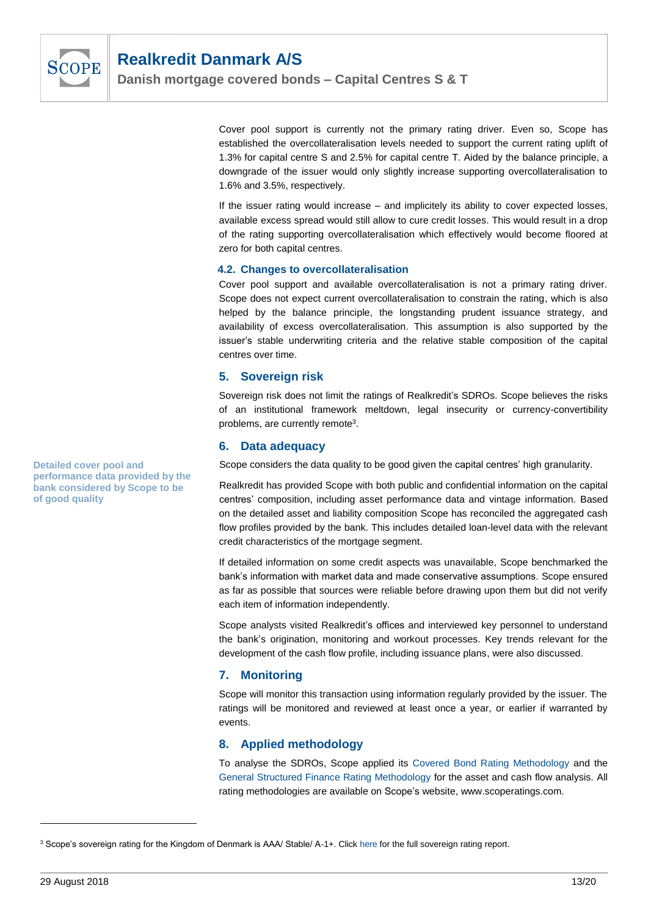

**Danish mortgage covered bonds – Capital Centres S & T**

Cover pool support is currently not the primary rating driver. Even so, Scope has established the overcollateralisation levels needed to support the current rating uplift of 1.3% for capital centre S and 2.5% for capital centre T. Aided by the balance principle, a downgrade of the issuer would only slightly increase supporting overcollateralisation to 1.6% and 3.5%, respectively.

If the issuer rating would increase – and implicitely its ability to cover expected losses, available excess spread would still allow to cure credit losses. This would result in a drop of the rating supporting overcollateralisation which effectively would become floored at zero for both capital centres.

## **4.2. Changes to overcollateralisation**

Cover pool support and available overcollateralisation is not a primary rating driver. Scope does not expect current overcollateralisation to constrain the rating, which is also helped by the balance principle, the longstanding prudent issuance strategy, and availability of excess overcollateralisation. This assumption is also supported by the issuer's stable underwriting criteria and the relative stable composition of the capital centres over time.

#### **5. Sovereign risk**

Sovereign risk does not limit the ratings of Realkredit's SDROs. Scope believes the risks of an institutional framework meltdown, legal insecurity or currency-convertibility problems, are currently remote<sup>3</sup>.

## **6. Data adequacy**

Scope considers the data quality to be good given the capital centres' high granularity.

Realkredit has provided Scope with both public and confidential information on the capital centres' composition, including asset performance data and vintage information. Based on the detailed asset and liability composition Scope has reconciled the aggregated cash flow profiles provided by the bank. This includes detailed loan-level data with the relevant credit characteristics of the mortgage segment.

If detailed information on some credit aspects was unavailable, Scope benchmarked the bank's information with market data and made conservative assumptions. Scope ensured as far as possible that sources were reliable before drawing upon them but did not verify each item of information independently.

Scope analysts visited Realkredit's offices and interviewed key personnel to understand the bank's origination, monitoring and workout processes. Key trends relevant for the development of the cash flow profile, including issuance plans, were also discussed.

# **7. Monitoring**

Scope will monitor this transaction using information regularly provided by the issuer. The ratings will be monitored and reviewed at least once a year, or earlier if warranted by events.

# **8. Applied methodology**

To analyse the SDROs, Scope applied its [Covered Bond Rating Methodology](https://www.scoperatings.com/ScopeRatingsApi/api/downloadmethodology?id=0f784b08-1e8a-4f1c-bb7d-c8499e918ea1) and the [General Structured Finance Rating Methodology](https://www.scoperatings.com/ScopeRatingsApi/api/downloadmethodology?id=8f6dc4fe-71e6-4946-bc27-3e84585c0a38) for the asset and cash flow analysis. All rating methodologies are available on Scope's website, www.scoperatings.com.

**Detailed cover pool and performance data provided by the bank considered by Scope to be of good quality**

<sup>&</sup>lt;sup>3</sup> Scope's sovereign rating for the Kingdom of Denmark is AAA/ Stable/ A-1+. Clic[k here](http://www.scoperatings.com/ScopeRatingsApi/api/downloadanalysis?id=266d685f-1238-4738-a835-74d84cafece2) for the full sovereign rating report.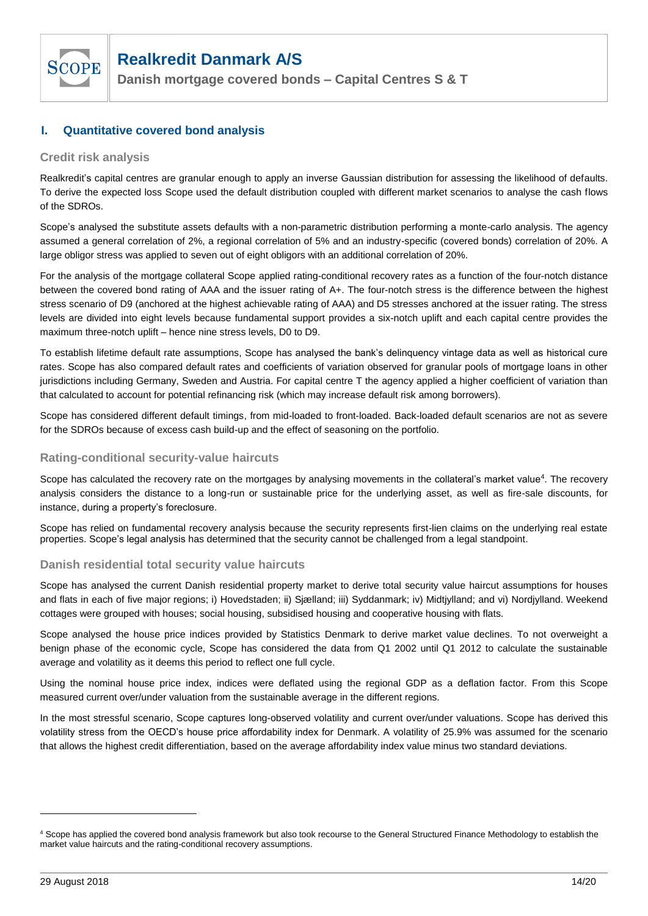

**Danish mortgage covered bonds – Capital Centres S & T**

# **I. Quantitative covered bond analysis**

## **Credit risk analysis**

Realkredit's capital centres are granular enough to apply an inverse Gaussian distribution for assessing the likelihood of defaults. To derive the expected loss Scope used the default distribution coupled with different market scenarios to analyse the cash flows of the SDROs.

Scope's analysed the substitute assets defaults with a non-parametric distribution performing a monte-carlo analysis. The agency assumed a general correlation of 2%, a regional correlation of 5% and an industry-specific (covered bonds) correlation of 20%. A large obligor stress was applied to seven out of eight obligors with an additional correlation of 20%.

For the analysis of the mortgage collateral Scope applied rating-conditional recovery rates as a function of the four-notch distance between the covered bond rating of AAA and the issuer rating of A+. The four-notch stress is the difference between the highest stress scenario of D9 (anchored at the highest achievable rating of AAA) and D5 stresses anchored at the issuer rating. The stress levels are divided into eight levels because fundamental support provides a six-notch uplift and each capital centre provides the maximum three-notch uplift – hence nine stress levels, D0 to D9.

To establish lifetime default rate assumptions, Scope has analysed the bank's delinquency vintage data as well as historical cure rates. Scope has also compared default rates and coefficients of variation observed for granular pools of mortgage loans in other jurisdictions including Germany, Sweden and Austria. For capital centre T the agency applied a higher coefficient of variation than that calculated to account for potential refinancing risk (which may increase default risk among borrowers).

Scope has considered different default timings, from mid-loaded to front-loaded. Back-loaded default scenarios are not as severe for the SDROs because of excess cash build-up and the effect of seasoning on the portfolio.

## **Rating-conditional security-value haircuts**

Scope has calculated the recovery rate on the mortgages by analysing movements in the collateral's market value<sup>4</sup>. The recovery analysis considers the distance to a long-run or sustainable price for the underlying asset, as well as fire-sale discounts, for instance, during a property's foreclosure.

Scope has relied on fundamental recovery analysis because the security represents first-lien claims on the underlying real estate properties. Scope's legal analysis has determined that the security cannot be challenged from a legal standpoint.

## **Danish residential total security value haircuts**

Scope has analysed the current Danish residential property market to derive total security value haircut assumptions for houses and flats in each of five major regions; i) Hovedstaden; ii) Sjælland; iii) Syddanmark; iv) Midtjylland; and vi) Nordjylland. Weekend cottages were grouped with houses; social housing, subsidised housing and cooperative housing with flats.

Scope analysed the house price indices provided by Statistics Denmark to derive market value declines. To not overweight a benign phase of the economic cycle, Scope has considered the data from Q1 2002 until Q1 2012 to calculate the sustainable average and volatility as it deems this period to reflect one full cycle.

Using the nominal house price index, indices were deflated using the regional GDP as a deflation factor. From this Scope measured current over/under valuation from the sustainable average in the different regions.

In the most stressful scenario, Scope captures long-observed volatility and current over/under valuations. Scope has derived this volatility stress from the OECD's house price affordability index for Denmark. A volatility of 25.9% was assumed for the scenario that allows the highest credit differentiation, based on the average affordability index value minus two standard deviations.

<sup>4</sup> Scope has applied the covered bond analysis framework but also took recourse to the General Structured Finance Methodology to establish the market value haircuts and the rating-conditional recovery assumptions.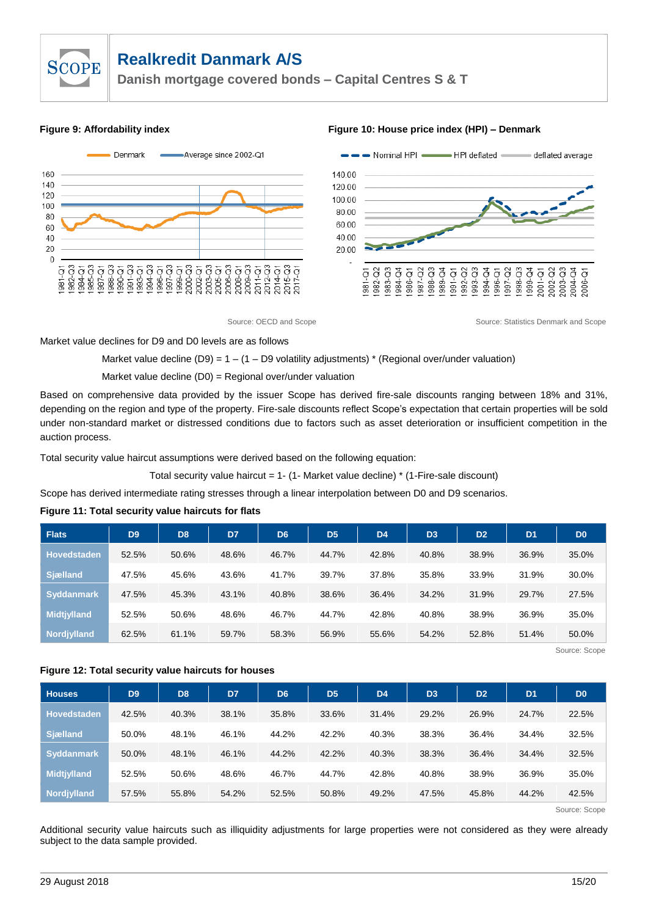



#### **Figure 9: Affordability index Figure 10: House price index (HPI) – Denmark**



Source: OECD and Scope Source: Statistics Denmark and Scope Source: Statistics Denmark and Scope

Market value declines for D9 and D0 levels are as follows

#### Market value decline  $(D9) = 1 - (1 - D9$  volatility adjustments) \* (Regional over/under valuation)

Market value decline (D0) = Regional over/under valuation

Based on comprehensive data provided by the issuer Scope has derived fire-sale discounts ranging between 18% and 31%, depending on the region and type of the property. Fire-sale discounts reflect Scope's expectation that certain properties will be sold under non-standard market or distressed conditions due to factors such as asset deterioration or insufficient competition in the auction process.

Total security value haircut assumptions were derived based on the following equation:

Total security value haircut =  $1 - (1 - 1)$  Market value decline) \* (1-Fire-sale discount)

Scope has derived intermediate rating stresses through a linear interpolation between D0 and D9 scenarios.

#### **Figure 11: Total security value haircuts for flats**

| <b>Flats</b>       | D <sub>9</sub> | D <sub>8</sub> | D7    | D <sub>6</sub> | D <sub>5</sub> | D <sub>4</sub> | D <sub>3</sub> | D <sub>2</sub> | D <sub>1</sub> | D <sub>0</sub> |
|--------------------|----------------|----------------|-------|----------------|----------------|----------------|----------------|----------------|----------------|----------------|
| <b>Hovedstaden</b> | 52.5%          | 50.6%          | 48.6% | 46.7%          | 44.7%          | 42.8%          | 40.8%          | 38.9%          | 36.9%          | 35.0%          |
| <b>Sjælland</b>    | 47.5%          | 45.6%          | 43.6% | 41.7%          | 39.7%          | 37.8%          | 35.8%          | 33.9%          | 31.9%          | 30.0%          |
| <b>Syddanmark</b>  | 47.5%          | 45.3%          | 43.1% | 40.8%          | 38.6%          | 36.4%          | 34.2%          | 31.9%          | 29.7%          | 27.5%          |
| <b>Midtjylland</b> | 52.5%          | 50.6%          | 48.6% | 46.7%          | 44.7%          | 42.8%          | 40.8%          | 38.9%          | 36.9%          | 35.0%          |
| Nordjylland        | 62.5%          | 61.1%          | 59.7% | 58.3%          | 56.9%          | 55.6%          | 54.2%          | 52.8%          | 51.4%          | 50.0%          |

Source: Scope

#### **Figure 12: Total security value haircuts for houses**

| <b>Houses</b>      | D <sub>9</sub> | D <sub>8</sub> | D7    | D <sub>6</sub> | D <sub>5</sub> | D <sub>4</sub> | D <sub>3</sub> | D <sub>2</sub> | D <sub>1</sub> | D <sub>0</sub> |
|--------------------|----------------|----------------|-------|----------------|----------------|----------------|----------------|----------------|----------------|----------------|
| <b>Hovedstaden</b> | 42.5%          | 40.3%          | 38.1% | 35.8%          | 33.6%          | 31.4%          | 29.2%          | 26.9%          | 24.7%          | 22.5%          |
| <b>Sjælland</b>    | 50.0%          | 48.1%          | 46.1% | 44.2%          | 42.2%          | 40.3%          | 38.3%          | 36.4%          | 34.4%          | 32.5%          |
| <b>Syddanmark</b>  | 50.0%          | 48.1%          | 46.1% | 44.2%          | 42.2%          | 40.3%          | 38.3%          | 36.4%          | 34.4%          | 32.5%          |
| <b>Midtjylland</b> | 52.5%          | 50.6%          | 48.6% | 46.7%          | 44.7%          | 42.8%          | 40.8%          | 38.9%          | 36.9%          | 35.0%          |
| Nordjylland        | 57.5%          | 55.8%          | 54.2% | 52.5%          | 50.8%          | 49.2%          | 47.5%          | 45.8%          | 44.2%          | 42.5%          |

Source: Scope

Additional security value haircuts such as illiquidity adjustments for large properties were not considered as they were already subject to the data sample provided.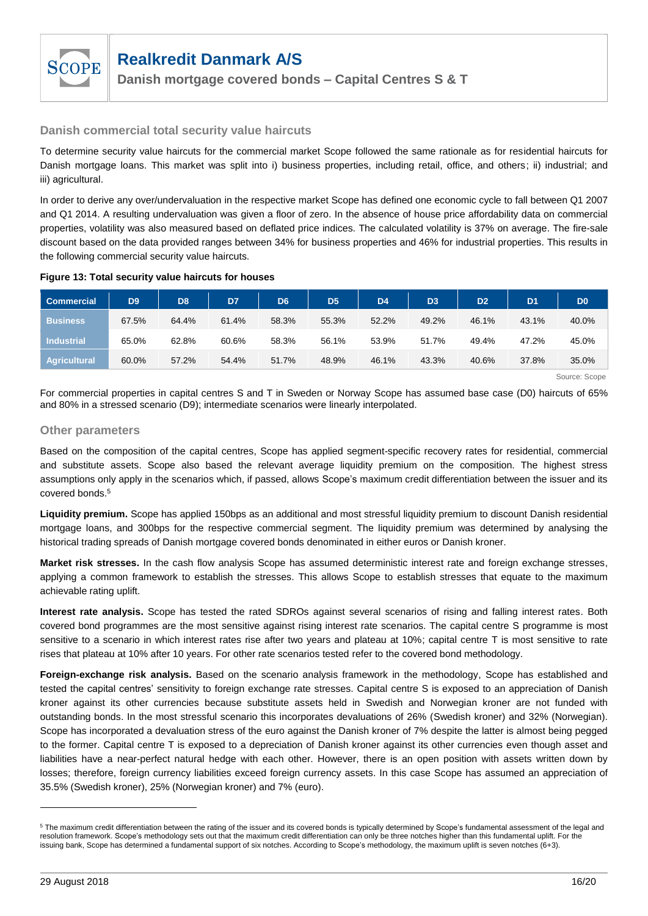

## **Danish commercial total security value haircuts**

To determine security value haircuts for the commercial market Scope followed the same rationale as for residential haircuts for Danish mortgage loans. This market was split into i) business properties, including retail, office, and others; ii) industrial; and iii) agricultural.

In order to derive any over/undervaluation in the respective market Scope has defined one economic cycle to fall between Q1 2007 and Q1 2014. A resulting undervaluation was given a floor of zero. In the absence of house price affordability data on commercial properties, volatility was also measured based on deflated price indices. The calculated volatility is 37% on average. The fire-sale discount based on the data provided ranges between 34% for business properties and 46% for industrial properties. This results in the following commercial security value haircuts.

#### **Figure 13: Total security value haircuts for houses**

| <b>Commercial</b>   | D <sub>9</sub> | D <sub>8</sub> | D7    | D <sub>6</sub> | D <sub>5</sub> | D <sub>4</sub> | D <sub>3</sub> | D <sub>2</sub> | D <sub>1</sub> | D <sub>0</sub> |
|---------------------|----------------|----------------|-------|----------------|----------------|----------------|----------------|----------------|----------------|----------------|
| <b>Business</b>     | 67.5%          | 64.4%          | 61.4% | 58.3%          | 55.3%          | 52.2%          | 49.2%          | 46.1%          | 43.1%          | 40.0%          |
| <b>Industrial</b>   | 65.0%          | 62.8%          | 60.6% | 58.3%          | 56.1%          | 53.9%          | 51.7%          | 49.4%          | 47.2%          | 45.0%          |
| <b>Agricultural</b> | 60.0%          | 57.2%          | 54.4% | 51.7%          | 48.9%          | 46.1%          | 43.3%          | 40.6%          | 37.8%          | 35.0%          |

Source: Scope

For commercial properties in capital centres S and T in Sweden or Norway Scope has assumed base case (D0) haircuts of 65% and 80% in a stressed scenario (D9); intermediate scenarios were linearly interpolated.

#### **Other parameters**

Based on the composition of the capital centres, Scope has applied segment-specific recovery rates for residential, commercial and substitute assets. Scope also based the relevant average liquidity premium on the composition. The highest stress assumptions only apply in the scenarios which, if passed, allows Scope's maximum credit differentiation between the issuer and its covered bonds.<sup>5</sup>

**Liquidity premium.** Scope has applied 150bps as an additional and most stressful liquidity premium to discount Danish residential mortgage loans, and 300bps for the respective commercial segment. The liquidity premium was determined by analysing the historical trading spreads of Danish mortgage covered bonds denominated in either euros or Danish kroner.

**Market risk stresses.** In the cash flow analysis Scope has assumed deterministic interest rate and foreign exchange stresses, applying a common framework to establish the stresses. This allows Scope to establish stresses that equate to the maximum achievable rating uplift.

**Interest rate analysis.** Scope has tested the rated SDROs against several scenarios of rising and falling interest rates. Both covered bond programmes are the most sensitive against rising interest rate scenarios. The capital centre S programme is most sensitive to a scenario in which interest rates rise after two years and plateau at 10%; capital centre T is most sensitive to rate rises that plateau at 10% after 10 years. For other rate scenarios tested refer to the covered bond methodology.

**Foreign-exchange risk analysis.** Based on the scenario analysis framework in the methodology, Scope has established and tested the capital centres' sensitivity to foreign exchange rate stresses. Capital centre S is exposed to an appreciation of Danish kroner against its other currencies because substitute assets held in Swedish and Norwegian kroner are not funded with outstanding bonds. In the most stressful scenario this incorporates devaluations of 26% (Swedish kroner) and 32% (Norwegian). Scope has incorporated a devaluation stress of the euro against the Danish kroner of 7% despite the latter is almost being pegged to the former. Capital centre T is exposed to a depreciation of Danish kroner against its other currencies even though asset and liabilities have a near-perfect natural hedge with each other. However, there is an open position with assets written down by losses; therefore, foreign currency liabilities exceed foreign currency assets. In this case Scope has assumed an appreciation of 35.5% (Swedish kroner), 25% (Norwegian kroner) and 7% (euro).

<sup>&</sup>lt;sup>5</sup> The maximum credit differentiation between the rating of the issuer and its covered bonds is typically determined by Scope's fundamental assessment of the legal and resolution framework. Scope's methodology sets out that the maximum credit differentiation can only be three notches higher than this fundamental uplift. For the issuing bank, Scope has determined a fundamental support of six notches. According to Scope's methodology, the maximum uplift is seven notches (6+3).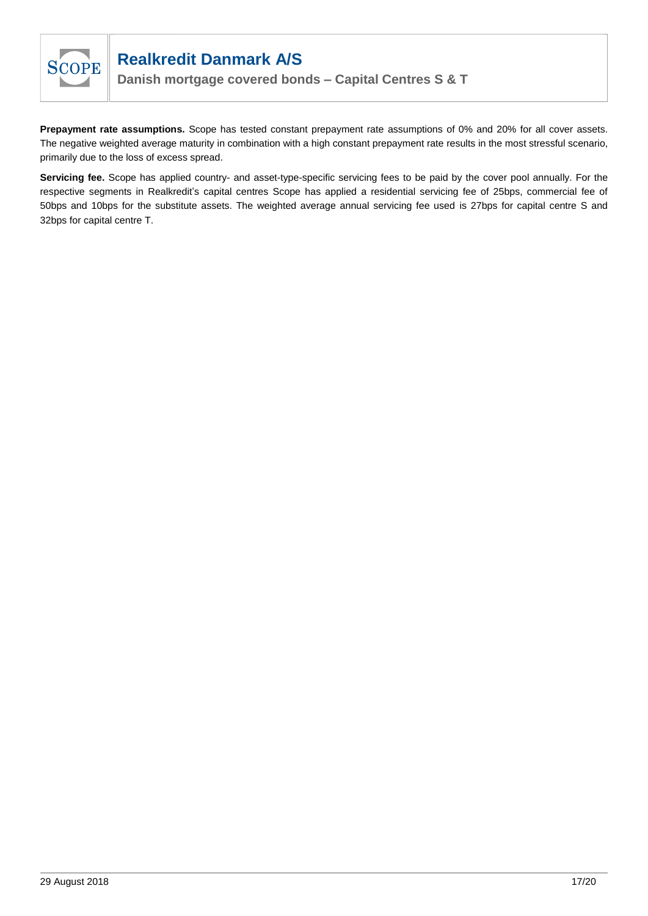

**Danish mortgage covered bonds – Capital Centres S & T**

**Prepayment rate assumptions.** Scope has tested constant prepayment rate assumptions of 0% and 20% for all cover assets. The negative weighted average maturity in combination with a high constant prepayment rate results in the most stressful scenario, primarily due to the loss of excess spread.

**Servicing fee.** Scope has applied country- and asset-type-specific servicing fees to be paid by the cover pool annually. For the respective segments in Realkredit's capital centres Scope has applied a residential servicing fee of 25bps, commercial fee of 50bps and 10bps for the substitute assets. The weighted average annual servicing fee used is 27bps for capital centre S and 32bps for capital centre T.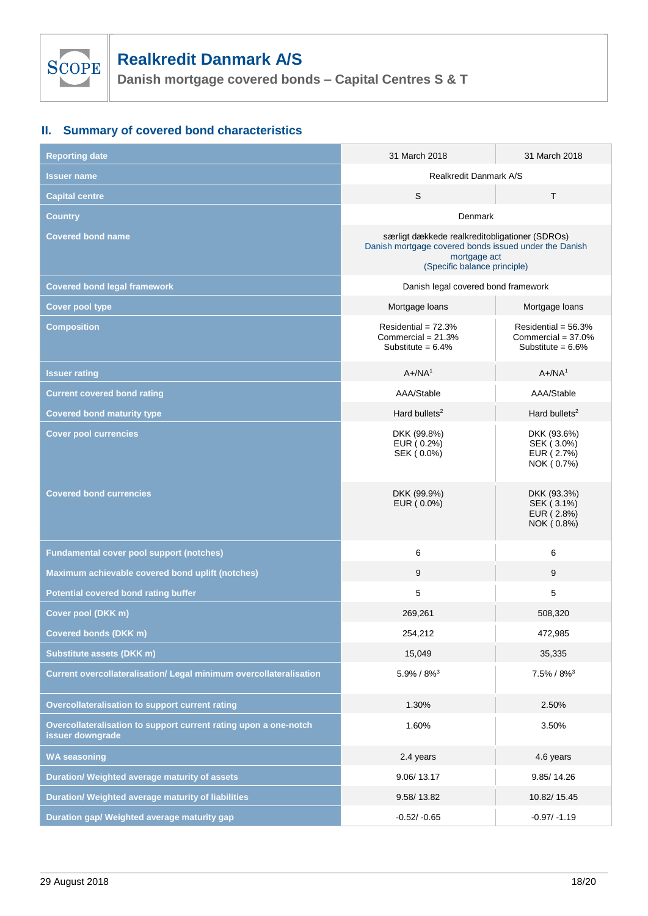

**Danish mortgage covered bonds – Capital Centres S & T**

# **II. Summary of covered bond characteristics**

| <b>Reporting date</b>                                                                | 31 March 2018                                                                                                                                           | 31 March 2018                                                          |  |  |  |
|--------------------------------------------------------------------------------------|---------------------------------------------------------------------------------------------------------------------------------------------------------|------------------------------------------------------------------------|--|--|--|
| <b>Issuer name</b>                                                                   | Realkredit Danmark A/S                                                                                                                                  |                                                                        |  |  |  |
| <b>Capital centre</b>                                                                | S                                                                                                                                                       | T                                                                      |  |  |  |
| Country                                                                              | Denmark                                                                                                                                                 |                                                                        |  |  |  |
| <b>Covered bond name</b>                                                             | særligt dækkede realkreditobligationer (SDROs)<br>Danish mortgage covered bonds issued under the Danish<br>mortgage act<br>(Specific balance principle) |                                                                        |  |  |  |
| <b>Covered bond legal framework</b>                                                  | Danish legal covered bond framework                                                                                                                     |                                                                        |  |  |  |
| <b>Cover pool type</b>                                                               | Mortgage loans                                                                                                                                          | Mortgage loans                                                         |  |  |  |
| <b>Composition</b>                                                                   | Residential = $72.3%$<br>Commercial = $21.3%$<br>Substitute = $6.4\%$                                                                                   | Residential = $56.3%$<br>Commercial = $37.0\%$<br>Substitute = $6.6\%$ |  |  |  |
| <b>Issuer rating</b>                                                                 | $A + /NA^1$                                                                                                                                             | $A + /NA^1$                                                            |  |  |  |
| <b>Current covered bond rating</b>                                                   | AAA/Stable                                                                                                                                              | AAA/Stable                                                             |  |  |  |
| <b>Covered bond maturity type</b>                                                    | Hard bullets <sup>2</sup>                                                                                                                               | Hard bullets $2$                                                       |  |  |  |
| <b>Cover pool currencies</b>                                                         | DKK (99.8%)<br>EUR (0.2%)<br>SEK (0.0%)                                                                                                                 | DKK (93.6%)<br>SEK (3.0%)<br>EUR (2.7%)<br>NOK (0.7%)                  |  |  |  |
| <b>Covered bond currencies</b>                                                       | DKK (99.9%)<br>EUR (0.0%)                                                                                                                               | DKK (93.3%)<br>SEK (3.1%)<br>EUR (2.8%)<br>NOK (0.8%)                  |  |  |  |
| <b>Fundamental cover pool support (notches)</b>                                      | 6                                                                                                                                                       | 6                                                                      |  |  |  |
| Maximum achievable covered bond uplift (notches)                                     | 9                                                                                                                                                       | 9                                                                      |  |  |  |
| <b>Potential covered bond rating buffer</b>                                          | 5                                                                                                                                                       | 5                                                                      |  |  |  |
| Cover pool (DKK m)                                                                   | 269,261                                                                                                                                                 | 508,320                                                                |  |  |  |
| <b>Covered bonds (DKK m)</b>                                                         | 254,212                                                                                                                                                 | 472,985                                                                |  |  |  |
| <b>Substitute assets (DKK m)</b>                                                     | 15,049                                                                                                                                                  | 35,335                                                                 |  |  |  |
| Current overcollateralisation/ Legal minimum overcollateralisation                   | $5.9\% / 8\%$ <sup>3</sup>                                                                                                                              | $7.5\% / 8\%$ <sup>3</sup>                                             |  |  |  |
| Overcollateralisation to support current rating                                      | 1.30%                                                                                                                                                   | 2.50%                                                                  |  |  |  |
| Overcollateralisation to support current rating upon a one-notch<br>issuer downgrade | 1.60%                                                                                                                                                   | 3.50%                                                                  |  |  |  |
| <b>WA seasoning</b>                                                                  | 2.4 years                                                                                                                                               | 4.6 years                                                              |  |  |  |
| Duration/ Weighted average maturity of assets                                        | 9.06/13.17                                                                                                                                              | 9.85/14.26                                                             |  |  |  |
| Duration/ Weighted average maturity of liabilities                                   | 9.58/13.82                                                                                                                                              | 10.82/15.45                                                            |  |  |  |
| Duration gap/ Weighted average maturity gap                                          | $-0.52/ -0.65$                                                                                                                                          | $-0.97/ -1.19$                                                         |  |  |  |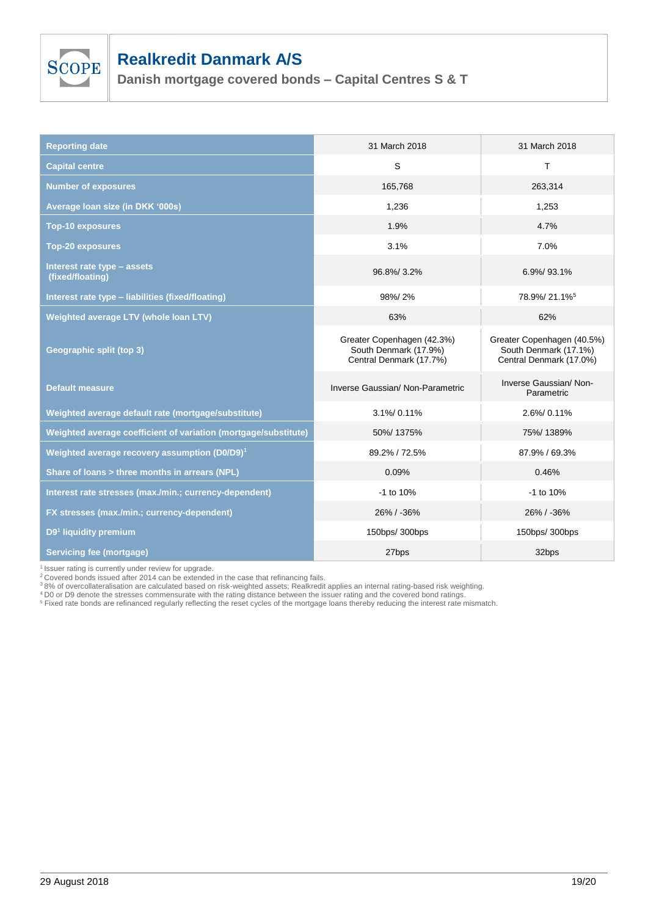

**Danish mortgage covered bonds – Capital Centres S & T**

| <b>Reporting date</b>                                           | 31 March 2018                                                                  | 31 March 2018                                                                  |
|-----------------------------------------------------------------|--------------------------------------------------------------------------------|--------------------------------------------------------------------------------|
| <b>Capital centre</b>                                           | S                                                                              | T                                                                              |
| <b>Number of exposures</b>                                      | 165,768                                                                        | 263,314                                                                        |
| Average Ioan size (in DKK '000s)                                | 1,236                                                                          | 1,253                                                                          |
| <b>Top-10 exposures</b>                                         | 1.9%                                                                           | 4.7%                                                                           |
| <b>Top-20 exposures</b>                                         | 3.1%                                                                           | 7.0%                                                                           |
| Interest rate type - assets<br>(fixed/floating)                 | 96.8%/3.2%                                                                     | 6.9%/93.1%                                                                     |
| Interest rate type - liabilities (fixed/floating)               | 98%/2%                                                                         | 78.9%/21.1% <sup>5</sup>                                                       |
| Weighted average LTV (whole loan LTV)                           | 63%                                                                            | 62%                                                                            |
| Geographic split (top 3)                                        | Greater Copenhagen (42.3%)<br>South Denmark (17.9%)<br>Central Denmark (17.7%) | Greater Copenhagen (40.5%)<br>South Denmark (17.1%)<br>Central Denmark (17.0%) |
| <b>Default measure</b>                                          | Inverse Gaussian/ Non-Parametric                                               | Inverse Gaussian/ Non-<br>Parametric                                           |
| Weighted average default rate (mortgage/substitute)             | 3.1%/0.11%                                                                     | 2.6%/0.11%                                                                     |
| Weighted average coefficient of variation (mortgage/substitute) | 50%/1375%                                                                      | 75%/1389%                                                                      |
| Weighted average recovery assumption (D0/D9) <sup>1</sup>       | 89.2% / 72.5%                                                                  | 87.9% / 69.3%                                                                  |
| Share of loans > three months in arrears (NPL)                  | 0.09%                                                                          | 0.46%                                                                          |
| Interest rate stresses (max./min.; currency-dependent)          | -1 to 10%                                                                      | -1 to 10%                                                                      |
| FX stresses (max./min.; currency-dependent)                     | 26% / -36%                                                                     | 26% / -36%                                                                     |
| D9 <sup>1</sup> liquidity premium                               | 150bps/ 300bps                                                                 | 150bps/ 300bps                                                                 |
| <b>Servicing fee (mortgage)</b>                                 | 27bps                                                                          | 32bps                                                                          |

<sup>1</sup> Issuer rating is currently under review for upgrade.<br><sup>2</sup> Covered bonds issued after 2014 can be extended in the case that refinancing fails.

<sup>3</sup> 8% of overcollateralisation are calculated based on risk-weighted assets; Realkredit applies an internal rating-based risk weighting.

<sup>4</sup> D0 or D9 denote the stresses commensurate with the rating distance between the issuer rating and the covered bond ratings.

<sup>5</sup> Fixed rate bonds are refinanced regularly reflecting the reset cycles of the mortgage loans thereby reducing the interest rate mismatch.